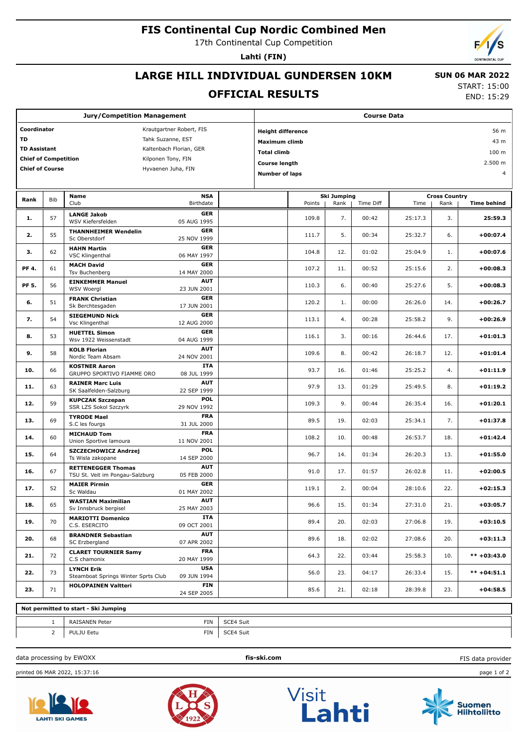## **FIS Continental Cup Nordic Combined Men**

17th Continental Cup Competition

**Lahti (FIN)**

# **LARGE HILL INDIVIDUAL GUNDERSEN 10KM**

### **OFFICIAL RESULTS**

 **SUN 06 MAR 2022** START: 15:00

END: 15:29

| <b>Jury/Competition Management</b>                |                |                                                          |                           |                                  | <b>Course Data</b>              |        |      |                      |         |      |                    |  |
|---------------------------------------------------|----------------|----------------------------------------------------------|---------------------------|----------------------------------|---------------------------------|--------|------|----------------------|---------|------|--------------------|--|
| Coordinator<br>Krautgartner Robert, FIS           |                |                                                          |                           | 56 m<br><b>Height difference</b> |                                 |        |      |                      |         |      |                    |  |
| <b>TD</b><br>Tahk Suzanne, EST                    |                |                                                          |                           | 43 m<br><b>Maximum climb</b>     |                                 |        |      |                      |         |      |                    |  |
| <b>TD Assistant</b><br>Kaltenbach Florian, GER    |                |                                                          |                           | 100 m<br><b>Total climb</b>      |                                 |        |      |                      |         |      |                    |  |
| <b>Chief of Competition</b><br>Kilponen Tony, FIN |                |                                                          |                           |                                  |                                 |        |      |                      |         |      |                    |  |
| <b>Chief of Course</b>                            |                | Hyvaenen Juha, FIN                                       |                           |                                  | 2.500 m<br><b>Course length</b> |        |      |                      |         |      |                    |  |
|                                                   |                |                                                          |                           |                                  | <b>Number of laps</b><br>4      |        |      |                      |         |      |                    |  |
| Rank                                              | <b>Bib</b>     | Name                                                     |                           | <b>Ski Jumping</b>               |                                 |        |      | <b>Cross Country</b> |         |      |                    |  |
|                                                   |                | Club                                                     | Birthdate                 |                                  |                                 | Points | Rank | Time Diff            | Time    | Rank | <b>Time behind</b> |  |
| 1.                                                | 57             | <b>LANGE Jakob</b><br>WSV Kiefersfelden                  | <b>GER</b><br>05 AUG 1995 |                                  |                                 | 109.8  | 7.   | 00:42                | 25:17.3 | 3.   | 25:59.3            |  |
| 2.                                                | 55             | <b>THANNHEIMER Wendelin</b><br>Sc Oberstdorf             | <b>GER</b><br>25 NOV 1999 |                                  |                                 | 111.7  | 5.   | 00:34                | 25:32.7 | 6.   | +00:07.4           |  |
| з.                                                | 62             | <b>HAHN Martin</b><br><b>VSC Klingenthal</b>             | <b>GER</b><br>06 MAY 1997 |                                  |                                 | 104.8  | 12.  | 01:02                | 25:04.9 | 1.   | $+00:07.6$         |  |
| PF 4.                                             | 61             | <b>MACH David</b><br>Tsv Buchenberg                      | <b>GER</b><br>14 MAY 2000 |                                  |                                 | 107.2  | 11.  | 00:52                | 25:15.6 | 2.   | $+00:08.3$         |  |
| PF 5.                                             | 56             | <b>EINKEMMER Manuel</b><br><b>WSV Woergl</b>             | <b>AUT</b><br>23 JUN 2001 |                                  |                                 | 110.3  | 6.   | 00:40                | 25:27.6 | 5.   | $+00:08.3$         |  |
| 6.                                                | 51             | <b>FRANK Christian</b><br>Sk Berchtesgaden               | <b>GER</b><br>17 JUN 2001 |                                  |                                 | 120.2  | 1.   | 00:00                | 26:26.0 | 14.  | +00:26.7           |  |
| 7.                                                | 54             | <b>SIEGEMUND Nick</b><br>Vsc Klingenthal                 | <b>GER</b><br>12 AUG 2000 |                                  |                                 | 113.1  | 4.   | 00:28                | 25:58.2 | 9.   | +00:26.9           |  |
| 8.                                                | 53             | <b>HUETTEL Simon</b><br>Wsv 1922 Weissenstadt            | <b>GER</b><br>04 AUG 1999 |                                  |                                 | 116.1  | 3.   | 00:16                | 26:44.6 | 17.  | $+01:01.3$         |  |
| 9.                                                | 58             | <b>KOLB Florian</b>                                      | <b>AUT</b>                |                                  |                                 | 109.6  | 8.   | 00:42                | 26:18.7 | 12.  | $+01:01.4$         |  |
| 10.                                               | 66             | Nordic Team Absam<br><b>KOSTNER Aaron</b>                | 24 NOV 2001<br><b>ITA</b> |                                  |                                 | 93.7   | 16.  | 01:46                | 25:25.2 | 4.   | $+01:11.9$         |  |
| 11.                                               | 63             | GRUPPO SPORTIVO FIAMME ORO<br><b>RAINER Marc Luis</b>    | 08 JUL 1999<br><b>AUT</b> |                                  |                                 | 97.9   | 13.  | 01:29                | 25:49.5 | 8.   | $+01:19.2$         |  |
| 12.                                               | 59             | SK Saalfelden-Salzburg<br><b>KUPCZAK Szczepan</b>        | 22 SEP 1999<br>POL        |                                  |                                 | 109.3  | 9.   | 00:44                | 26:35.4 | 16.  | $+01:20.1$         |  |
| 13.                                               | 69             | SSR LZS Sokol Szczyrk<br><b>TYRODE Mael</b>              | 29 NOV 1992<br><b>FRA</b> |                                  |                                 | 89.5   | 19.  | 02:03                | 25:34.1 | 7.   | $+01:37.8$         |  |
| 14.                                               | 60             | S.C les fourgs<br><b>MICHAUD Tom</b>                     | 31 JUL 2000<br><b>FRA</b> |                                  |                                 | 108.2  | 10.  | 00:48                | 26:53.7 | 18.  | $+01:42.4$         |  |
| 15.                                               | 64             | Union Sportive lamoura<br>SZCZECHOWICZ Andrzej           | 11 NOV 2001<br>POL        |                                  |                                 | 96.7   | 14.  | 01:34                | 26:20.3 | 13.  | $+01:55.0$         |  |
|                                                   |                | Ts Wisla zakopane<br><b>RETTENEGGER Thomas</b>           | 14 SEP 2000<br><b>AUT</b> |                                  |                                 |        |      |                      |         |      |                    |  |
| 16.                                               | 67             | TSU St. Veit im Pongau-Salzburg                          | 05 FEB 2000<br><b>GER</b> |                                  |                                 | 91.0   | 17.  | 01:57                | 26:02.8 | 11.  | $+02:00.5$         |  |
| 17.                                               | 52             | <b>MAIER Pirmin</b><br>Sc Waldau                         | 01 MAY 2002               |                                  |                                 | 119.1  | 2.   | 00:04                | 28:10.6 | 22.  | +02:15.3           |  |
| 18.                                               | 65             | <b>WASTIAN Maximilian</b><br>Sv Innsbruck bergisel       | <b>AUT</b><br>25 MAY 2003 |                                  |                                 | 96.6   | 15.  | 01:34                | 27:31.0 | 21.  | $+03:05.7$         |  |
| 19.                                               | 70             | <b>MARIOTTI Domenico</b><br>C.S. ESERCITO                | ITA<br>09 OCT 2001        |                                  |                                 | 89.4   | 20.  | 02:03                | 27:06.8 | 19.  | $+03:10.5$         |  |
| 20.                                               | 68             | <b>BRANDNER Sebastian</b><br>SC Erzbergland              | <b>AUT</b><br>07 APR 2002 |                                  |                                 | 89.6   | 18.  | 02:02                | 27:08.6 | 20.  | +03:11.3           |  |
| 21.                                               | 72             | <b>CLARET TOURNIER Samy</b><br>C.S chamonix              | <b>FRA</b><br>20 MAY 1999 |                                  |                                 | 64.3   | 22.  | 03:44                | 25:58.3 | 10.  | $*** +03:43.0$     |  |
| 22.                                               | 73             | <b>LYNCH Erik</b><br>Steamboat Springs Winter Sprts Club | <b>USA</b><br>09 JUN 1994 |                                  |                                 | 56.0   | 23.  | 04:17                | 26:33.4 | 15.  | $*** +04:51.1$     |  |
| 23.                                               | 71             | <b>HOLOPAINEN Valtteri</b>                               | <b>FIN</b><br>24 SEP 2005 |                                  |                                 | 85.6   | 21.  | 02:18                | 28:39.8 | 23.  | $+04:58.5$         |  |
| Not permitted to start - Ski Jumping              |                |                                                          |                           |                                  |                                 |        |      |                      |         |      |                    |  |
|                                                   | $\mathbf{1}$   | RAISANEN Peter                                           | <b>FIN</b>                | SCE4 Suit                        |                                 |        |      |                      |         |      |                    |  |
|                                                   | $\overline{2}$ | PULJU Eetu                                               | FIN                       | SCE4 Suit                        |                                 |        |      |                      |         |      |                    |  |

data processing by EWOXX **fis-ski.com**

printed 06 MAR 2022, 15:37:16 page 1 of 2











FIS data provider